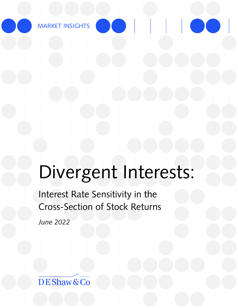MARKET INSIGHTS

# Divergent Interests:

Interest Rate Sensitivity in the Cross-Section of Stock Returns

*June 2022*

DE Shaw & Co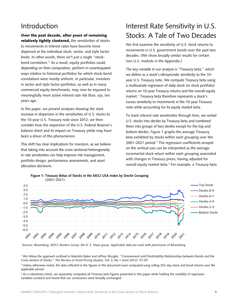### Introduction

Over the past decade, after years of remaining relatively tightly clustered, the sensitivities of stocks to movements in interest rates have become more dispersed at the individual stock, sector, and style factor levels. In other words, there isn't just a single "stockbond correlation." As a result, equity portfolios could, depending on their composition, perform in unanticipated ways relative to historical portfolios for which stock-bond correlations were mostly uniform. In particular, investors in sector and style factor portfolios, as well as in many commercial equity benchmarks, may now be exposed to meaningfully more active interest rate risk than, say, ten years ago.

In this paper, we present analyses showing the stark increase in dispersion in the sensitivities of U.S. stocks to the 10-year U.S. Treasury note since 2012; we then consider how the expansion of the U.S. Federal Reserve's balance sheet and its impact on Treasury yields may have been a driver of this phenomenon.

This shift has clear implications for investors, as we believe that taking into account the cross-sectional heterogeneity in rate sensitivities can help improve risk management, portfolio design, performance assessments, and asset allocation decisions.

## Interest Rate Sensitivity in U.S. Stocks: A Tale of Two Decades

We first examine the sensitivity of U.S. stock returns to movements in U.S. government bonds over the past two decades. (We show broadly similar results for certain non-U.S. markets in the Appendix.)

The key variable in our analysis is "Treasury beta," which we define as a stock's idiosyncratic sensitivity to the 10 year U.S. Treasury note. We compute Treasury beta using a multivariate regression of daily stock (or stock portfolio) returns on 10-year Treasury returns and the overall equity market.<sup>[1](#page-1-0)</sup> Treasury beta therefore represents a stock's excess sensitivity to movements in the 10-year Treasury note while accounting for its equity market beta.

To track interest rate sensitivities through time, we sorted U.S. stocks into deciles by Treasury beta and combined them into groups of two deciles except for the top and bottom deciles. *Figure 1* graphs the average Treasury beta exhibited by stocks within each grouping over the [2](#page-1-1)001-2021 period.<sup>2</sup> The regression coefficients arrayed on the vertical axis can be interpreted as the average incremental stock return within each grouping associated with changes in Treasury prices, having adjusted for overall equity market beta.<sup>[3](#page-1-2)</sup> For example, a Treasury beta



**Figure 1: Treasury Betas of Stocks in the MSCI USA Index by Decile Grouping** (2001–2021)

*Sources: Bloomberg; MSCI; Reuters Group; the D. E. Shaw group. Applicable data are used with permission of Bloomberg.*

<span id="page-1-0"></span><sup>1</sup> We follow the approach outlined in Malcolm Baker and Jeffrey Wurgler, "Comovement and Predictability Relationships between Bonds and the Cross-section of Stocks," *The Review of Asset Pricing Studies,* Vol. 2, No.1 (June 2012): 57–87.

<span id="page-1-1"></span><sup>2</sup> Unless otherwise noted, the data reflected in the figures in this document were computed using rolling 252-day stock and bond returns over the applicable period.

<span id="page-1-2"></span><sup>3</sup> As a robustness check, we separately computed all Treasury beta figures presented in this paper while holding the volatility of regression variables constant and found that our conclusions were broadly unchanged.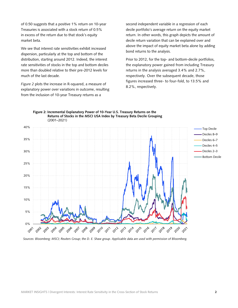of 0.50 suggests that a positive 1% return on 10-year Treasuries is associated with a stock return of 0.5% in excess of the return due to that stock's equity market beta.

We see that interest rate sensitivities exhibit increased dispersion, particularly at the top and bottom of the distribution, starting around 2012. Indeed, the interest rate sensitivities of stocks in the top and bottom deciles more than doubled relative to their pre-2012 levels for much of the last decade.

*Figure 2* plots the increase in R-squared, a measure of explanatory power over variations in outcome, resulting from the inclusion of 10-year Treasury returns as a

second independent variable in a regression of each decile portfolio's average return on the equity market return. In other words, this graph depicts the amount of decile return variation that can be explained over and above the impact of equity market beta alone by adding bond returns to the analysis.

Prior to 2012, for the top- and bottom-decile portfolios, the explanatory power gained from including Treasury returns in the analysis averaged 3.4% and 2.7%, respectively. Over the subsequent decade, those figures increased three- to four-fold, to 13.5% and 8.2%, respectively.



#### **Figure 2: Incremental Explanatory Power of 10-Year U.S. Treasury Returns on the Returns of Stocks in the MSCI USA Index by Treasury Beta Decile Grouping** (2001–2021)

*Sources: Bloomberg; MSCI; Reuters Group; the D. E. Shaw group. Applicable data are used with permission of Bloomberg.*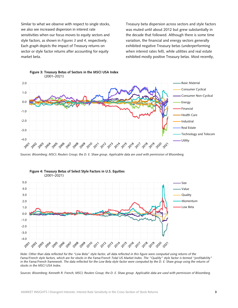Similar to what we observe with respect to single stocks, we also see increased dispersion in interest rate sensitivities when our focus moves to equity sectors and style factors, as shown in *Figures 3* and *4*, respectively. Each graph depicts the impact of Treasury returns on sector or style factor returns after accounting for equity market beta.

Treasury beta dispersion across sectors and style factors was muted until about 2012 but grew substantially in the decade that followed. Although there is some time variation, the financial and energy sectors generally exhibited negative Treasury betas (underperforming when interest rates fell), while utilities and real estate exhibited mostly positive Treasury betas. Most recently,



*Sources: Bloomberg; MSCI; Reuters Group; the D. E. Shaw group. Applicable data are used with permission of Bloomberg.*



# **Figure 4: Treasury Betas of Select Style Factors in U.S. Equities**

*Note: Other than data reflected for the "Low Beta" style factor, all data reflected in this figure were computed using returns of the Fama/French style factors, which are for stocks in the Fama/French Total US Market Index. The "Quality" style factor is termed "profitability" in the Fama/French framework. The data reflected for the Low Beta style factor were computed by the D. E. Shaw group using the returns of stocks in the MSCI USA Index.*

*Sources: Bloomberg; Kenneth R. French; MSCI; Reuters Group; the D. E. Shaw group. Applicable data are used with permission of Bloomberg.*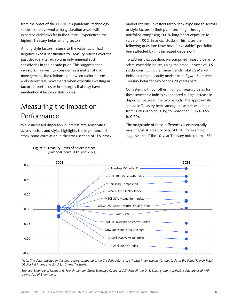from the onset of the COVID-19 pandemic, technology stocks—often viewed as long-duration assets with expected cashflows far in the future—experienced the highest Treasury betas among sectors.

Among style factors, returns to the value factor had negative excess sensitivities to Treasury returns over the past decade after exhibiting only minimal such sensitivities in the decade prior. This suggests that investors may wish to consider, as a matter of risk management, the relationship between factor returns and interest rate movements when explicitly investing in factor-tilt portfolios or in strategies that may have unintentional factor or style biases.

## Measuring the Impact on Performance

While increased dispersion in interest rate sensitivities across sectors and styles highlights the importance of stock-bond correlation in the cross-section of U.S. stock market returns, investors rarely seek exposure to sectors or style factors in their pure form (*e.g.,* through portfolios comprising 100% long/short exposure to value or 100% financial stocks). This raises the following question: How have "investable" portfolios been affected by this increased dispersion?

To address that question, we computed Treasury betas for select investable indices, using the broad universe of U.S. stocks constituting the Fama/French Total US Market Index to compute equity market beta. *Figure 5* presents Treasury betas for two periods 20 years apart.

Consistent with our other findings, Treasury betas for these investable indices experienced a large increase in dispersion between the two periods. The approximate spread in Treasury betas among these indices jumped from 0.20 (-0.15 to 0.05) to more than 1.35 (-0.65 to 0.70).

The magnitude of these differences is economically meaningful. A Treasury beta of 0.70, for example, suggests that if the 10-year Treasury note returns -5%



**Figure 5: Treasury Betas of Select Indices** (Calendar Years 2001 and 2021)

*Note: The data reflected in this figure were computed using the daily returns of (1) each index shown, (2) the stocks in the Fama/French Total US Market Index, and (3) U.S. 10-year Treasuries.*

*Sources: Bloomberg; Kenneth R. French; London Stock Exchange Group; MSCI; Russell; the D. E. Shaw group. Applicable data are used with permission of Bloomberg.*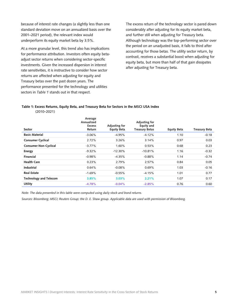because of interest rate changes (a slightly less than one standard deviation move on an annualized basis over the 2001–2021 period), the relevant index would underperform its equity market beta by 3.5%.

At a more granular level, this trend also has implications for performance attribution. Investors often equity betaadjust sector returns when considering sector-specific investments. Given the increased dispersion in interest rate sensitivities, it is instructive to consider how sector returns are affected when adjusting for equity and Treasury betas over the past dozen years. The performance presented for the technology and utilities sectors in *Table 1* stands out in that respect.

The excess return of the technology sector is pared down considerably after adjusting for its equity market beta, and further still when adjusting for Treasury beta. Although technology was the top-performing sector over the period on an unadjusted basis, it falls to third after accounting for those betas. The utility sector return, by contrast, receives a substantial boost when adjusting for equity beta, but more than half of that gain dissipates after adjusting for Treasury beta.

#### **Table 1: Excess Returns, Equity Beta, and Treasury Beta for Sectors in the MSCI USA Index** (2010–2021)

| Sector                        | Average<br>Annualized<br><b>Excess</b><br>Return | Adjusting for<br><b>Equity Beta</b> | Adjusting for<br>Equity and<br><b>Treasury Betas</b> | <b>Equity Beta</b> | <b>Treasury Beta</b> |
|-------------------------------|--------------------------------------------------|-------------------------------------|------------------------------------------------------|--------------------|----------------------|
| <b>Basic Material</b>         | $-3.06\%$                                        | $-4.95%$                            | $-4.12%$                                             | 1.10               | $-0.18$              |
| <b>Consumer Cyclical</b>      | 2.72%                                            | 3.26%                               | 3.14%                                                | 0.97               | 0.03                 |
| <b>Consumer Non-Cyclical</b>  | $-3.77\%$                                        | 1.60%                               | 0.53%                                                | 0.68               | 0.23                 |
| <b>Energy</b>                 | $-9.32%$                                         | $-12.30\%$                          | $-10.81%$                                            | 1.16               | $-0.32$              |
| Financial                     | $-0.98%$                                         | $-4.35%$                            | $-0.88%$                                             | 1.14               | $-0.74$              |
| <b>Health Care</b>            | 0.23%                                            | 2.79%                               | 2.57%                                                | 0.84               | 0.05                 |
| Industrial                    | 0.64%                                            | $-0.08%$                            | 0.69%                                                | 1.03               | $-0.16$              |
| <b>Real Estate</b>            | $-1.69%$                                         | $-0.55%$                            | $-4.15%$                                             | 1.01               | 0.77                 |
| <b>Technology and Telecom</b> | 3.85%                                            | 3.03%                               | 2.21%                                                | 1.07               | 0.17                 |
| <b>Utility</b>                | $-4.78%$                                         | $-0.04%$                            | $-2.85%$                                             | 0.76               | 0.60                 |

*Note: The data presented in this table were computed using daily stock and bond returns.*

*Sources: Bloomberg; MSCI; Reuters Group; the D. E. Shaw group. Applicable data are used with permission of Bloomberg.*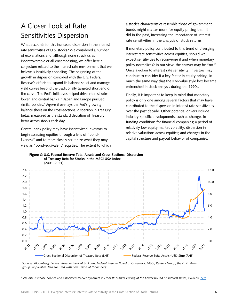## A Closer Look at Rate Sensitivities Dispersion

What accounts for this increased dispersion in the interest rate sensitivities of U.S. stocks? We considered a number of explanations and, although none struck us as incontrovertible or all-encompassing, we offer here a conjecture related to the interest rate environment that we believe is intuitively appealing. The beginning of the growth in dispersion coincided with the U.S. Federal Reserve's efforts to expand its balance sheet and manage yield curves beyond the traditionally targeted short end of the curve. The Fed's initiatives helped drive interest rates lower, and central banks in Japan and Europe pursued similar policies.[4](#page-6-0) *Figure 6* overlays the Fed's growing balance sheet on the cross-sectional dispersion in Treasury betas, measured as the standard deviation of Treasury betas across stocks each day.

Central bank policy may have incentivized investors to begin assessing equities through a lens of "bondlikeness" and to more closely scrutinize what they may view as "bond-equivalent" equities. The extent to which a stock's characteristics resemble those of government bonds might matter more for equity pricing than it did in the past, increasing the importance of interest rate sensitivities in the analysis of stock returns.

If monetary policy contributed to this trend of diverging interest rate sensitivities across equities, should we expect sensitivities to reconverge if and when monetary policy normalizes? In our view, the answer may be "no." Once awoken to interest rate sensitivity, investors may continue to consider it a key factor in equity pricing, in much the same way that the size-value style box became entrenched in stock analysis during the 1990s.

Finally, it is important to keep in mind that monetary policy is only one among several factors that may have contributed to the dispersion in interest rate sensitivities over the past decade. Other potential drivers include industry-specific developments, such as changes in funding conditions for financial companies; a period of relatively low equity market volatility; dispersion in relative valuations across equities; and changes in the capital structure and payout behavior of companies.



**Figure 6: U.S. Federal Reserve Total Assets and Cross-Sectional Dispersion of Treasury Beta for Stocks in the MSCI USA Index** (2001–2021)

*Sources: Bloomberg; Federal Reserve Bank of St. Louis; Federal Reserve Board of Governors; MSCI; Reuters Group; the D. E. Shaw group. Applicable data are used with permission of Bloomberg.*

<span id="page-6-0"></span><sup>4</sup> We discuss those policies and associated market dynamics in *Floor It: Market Pricing of the Lower Bound on Interest Rates*, available [here.](https://www.deshaw.com/assets/articles/DESCO_Market_Insights_Lower_Bound_20190531.pdf)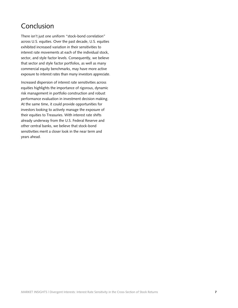## Conclusion

There isn't just one uniform "stock-bond correlation" across U.S. equities. Over the past decade, U.S. equities exhibited increased variation in their sensitivities to interest rate movements at each of the individual stock, sector, and style factor levels. Consequently, we believe that sector and style factor portfolios, as well as many commercial equity benchmarks, may have more active exposure to interest rates than many investors appreciate.

Increased dispersion of interest rate sensitivities across equities highlights the importance of rigorous, dynamic risk management in portfolio construction and robust performance evaluation in investment decision making. At the same time, it could provide opportunities for investors looking to actively manage the exposure of their equities to Treasuries. With interest rate shifts already underway from the U.S. Federal Reserve and other central banks, we believe that stock-bond sensitivities merit a closer look in the near term and years ahead.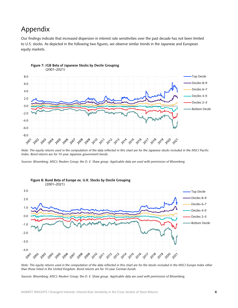## Appendix

Our findings indicate that increased dispersion in interest rate sensitivities over the past decade has not been limited to U.S. stocks. As depicted in the following two figures, we observe similar trends in the Japanese and European equity markets.



#### **Figure 7: JGB Beta of Japanese Stocks by Decile Grouping** (2001–2021)

*Note: The equity returns used in the computation of the data reflected in this chart are for the Japanese stocks included in the MSCI Pacific Index. Bond returns are for 10-year Japanese government bonds.*

*Sources: Bloomberg; MSCI; Reuters Group; the D. E. Shaw group. Applicable data are used with permission of Bloomberg.*



*Note: The equity returns used in the computation of the data reflected in this chart are for the stocks included in the MSCI Europe Index other than those listed in the United Kingdom. Bond returns are for 10-year German bunds.*

*Sources: Bloomberg; MSCI; Reuters Group; the D. E. Shaw group. Applicable data are used with permission of Bloomberg.*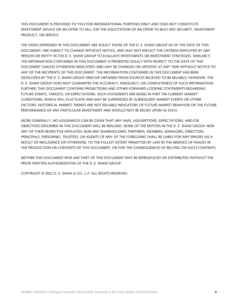THIS DOCUMENT IS PROVIDED TO YOU FOR INFORMATIONAL PURPOSES ONLY AND DOES NOT CONSTITUTE INVESTMENT ADVICE OR AN OFFER TO SELL (OR THE SOLICITATION OF AN OFFER TO BUY) ANY SECURITY, INVESTMENT PRODUCT, OR SERVICE.

THE VIEWS EXPRESSED IN THIS DOCUMENT ARE SOLELY THOSE OF THE D. E. SHAW GROUP AS OF THE DATE OF THIS DOCUMENT, ARE SUBJECT TO CHANGE WITHOUT NOTICE, AND MAY NOT REFLECT THE CRITERIA EMPLOYED BY ANY PERSON OR ENTITY IN THE D. E. SHAW GROUP TO EVALUATE INVESTMENTS OR INVESTMENT STRATEGIES. SIMILARLY, THE INFORMATION CONTAINED IN THIS DOCUMENT IS PRESENTED SOLELY WITH RESPECT TO THE DATE OF THIS DOCUMENT (UNLESS OTHERWISE INDICATED) AND MAY BE CHANGED OR UPDATED AT ANY TIME WITHOUT NOTICE TO ANY OF THE RECIPIENTS OF THIS DOCUMENT. THE INFORMATION CONTAINED IN THIS DOCUMENT HAS BEEN DEVELOPED BY THE D. E. SHAW GROUP AND/OR OBTAINED FROM SOURCES BELIEVED TO BE RELIABLE; HOWEVER, THE D. E. SHAW GROUP DOES NOT GUARANTEE THE ACCURACY, ADEQUACY, OR COMPLETENESS OF SUCH INFORMATION. FURTHER, THIS DOCUMENT CONTAINS PROJECTIONS AND OTHER FORWARD-LOOKING STATEMENTS REGARDING FUTURE EVENTS, TARGETS, OR EXPECTATIONS. SUCH STATEMENTS ARE BASED IN PART ON CURRENT MARKET CONDITIONS, WHICH WILL FLUCTUATE AND MAY BE SUPERSEDED BY SUBSEQUENT MARKET EVENTS OR OTHER FACTORS. HISTORICAL MARKET TRENDS ARE NOT RELIABLE INDICATORS OF FUTURE MARKET BEHAVIOR OR THE FUTURE PERFORMANCE OF ANY PARTICULAR INVESTMENT AND SHOULD NOT BE RELIED UPON AS SUCH.

MORE GENERALLY, NO ASSURANCES CAN BE GIVEN THAT ANY AIMS, ASSUMPTIONS, EXPECTATIONS, AND/OR OBJECTIVES DESCRIBED IN THIS DOCUMENT WILL BE REALIZED. NONE OF THE ENTITIES IN THE D. E. SHAW GROUP; NOR ANY OF THEIR RESPECTIVE AFFILIATES; NOR ANY SHAREHOLDERS, PARTNERS, MEMBERS, MANAGERS, DIRECTORS, PRINCIPALS, PERSONNEL, TRUSTEES, OR AGENTS OF ANY OF THE FOREGOING SHALL BE LIABLE FOR ANY ERRORS (AS A RESULT OF NEGLIGENCE OR OTHERWISE, TO THE FULLEST EXTENT PERMITTED BY LAW IN THE ABSENCE OF FRAUD) IN THE PRODUCTION OR CONTENTS OF THIS DOCUMENT, OR FOR THE CONSEQUENCES OF RELYING ON SUCH CONTENTS.

NEITHER THIS DOCUMENT NOR ANY PART OF THIS DOCUMENT MAY BE REPRODUCED OR DISTRIBUTED WITHOUT THE PRIOR WRITTEN AUTHORIZATION OF THE D. E. SHAW GROUP.

COPYRIGHT © 2022 D. E. SHAW & CO., L.P. ALL RIGHTS RESERVED.